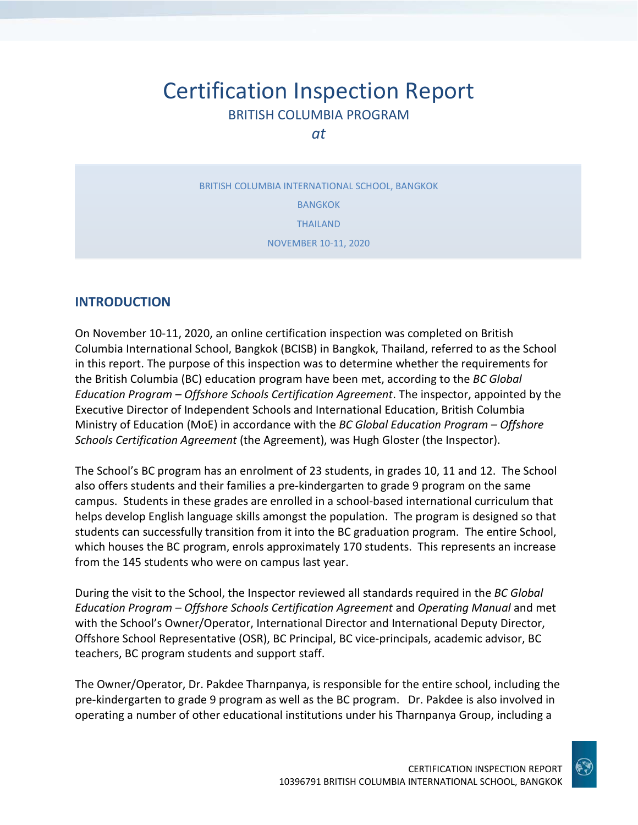# Certification Inspection Report BRITISH COLUMBIA PROGRAM

*at*

BRITISH COLUMBIA INTERNATIONAL SCHOOL, BANGKOK BANGKOK THAILAND NOVEMBER 10-11, 2020

### **INTRODUCTION**

On November 10-11, 2020, an online certification inspection was completed on British Columbia International School, Bangkok (BCISB) in Bangkok, Thailand, referred to as the School in this report. The purpose of this inspection was to determine whether the requirements for the British Columbia (BC) education program have been met, according to the *BC Global Education Program – Offshore Schools Certification Agreement*. The inspector, appointed by the Executive Director of Independent Schools and International Education, British Columbia Ministry of Education (MoE) in accordance with the *BC Global Education Program – Offshore Schools Certification Agreement* (the Agreement), was Hugh Gloster (the Inspector).

The School's BC program has an enrolment of 23 students, in grades 10, 11 and 12. The School also offers students and their families a pre-kindergarten to grade 9 program on the same campus. Students in these grades are enrolled in a school-based international curriculum that helps develop English language skills amongst the population. The program is designed so that students can successfully transition from it into the BC graduation program. The entire School, which houses the BC program, enrols approximately 170 students. This represents an increase from the 145 students who were on campus last year.

During the visit to the School, the Inspector reviewed all standards required in the *BC Global Education Program – Offshore Schools Certification Agreement* and *Operating Manual* and met with the School's Owner/Operator, International Director and International Deputy Director, Offshore School Representative (OSR), BC Principal, BC vice-principals, academic advisor, BC teachers, BC program students and support staff.

The Owner/Operator, Dr. Pakdee Tharnpanya, is responsible for the entire school, including the pre-kindergarten to grade 9 program as well as the BC program. Dr. Pakdee is also involved in operating a number of other educational institutions under his Tharnpanya Group, including a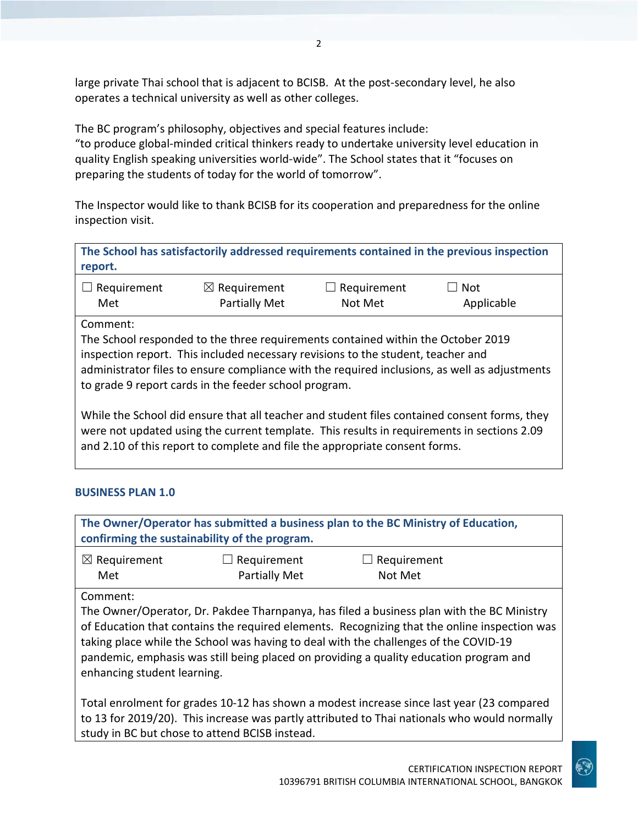large private Thai school that is adjacent to BCISB. At the post-secondary level, he also operates a technical university as well as other colleges.

The BC program's philosophy, objectives and special features include: "to produce global-minded critical thinkers ready to undertake university level education in quality English speaking universities world-wide". The School states that it "focuses on preparing the students of today for the world of tomorrow".

The Inspector would like to thank BCISB for its cooperation and preparedness for the online inspection visit.

| The School has satisfactorily addressed requirements contained in the previous inspection<br>report.                                                                                       |                                                                                                                                                                                                                               |                        |                                                                                               |
|--------------------------------------------------------------------------------------------------------------------------------------------------------------------------------------------|-------------------------------------------------------------------------------------------------------------------------------------------------------------------------------------------------------------------------------|------------------------|-----------------------------------------------------------------------------------------------|
| $\Box$ Requirement<br>Met                                                                                                                                                                  | $\boxtimes$ Requirement<br><b>Partially Met</b>                                                                                                                                                                               | Requirement<br>Not Met | $\Box$ Not<br>Applicable                                                                      |
| Comment:                                                                                                                                                                                   | The School responded to the three requirements contained within the October 2019<br>inspection report. This included necessary revisions to the student, teacher and<br>to grade 9 report cards in the feeder school program. |                        | administrator files to ensure compliance with the required inclusions, as well as adjustments |
| While the School did ensure that all teacher and student files contained consent forms, they<br>were not updated using the current template. This results in requirements in sections 2.09 |                                                                                                                                                                                                                               |                        |                                                                                               |

and 2.10 of this report to complete and file the appropriate consent forms.

### **BUSINESS PLAN 1.0**

| The Owner/Operator has submitted a business plan to the BC Ministry of Education,<br>confirming the sustainability of the program. |                                     |                                                                                                                                                                                                                                                                                                                                                                             |  |
|------------------------------------------------------------------------------------------------------------------------------------|-------------------------------------|-----------------------------------------------------------------------------------------------------------------------------------------------------------------------------------------------------------------------------------------------------------------------------------------------------------------------------------------------------------------------------|--|
| $\boxtimes$ Requirement<br>Met                                                                                                     | Requirement<br><b>Partially Met</b> | Requirement<br>Not Met                                                                                                                                                                                                                                                                                                                                                      |  |
| Comment:<br>enhancing student learning.                                                                                            |                                     | The Owner/Operator, Dr. Pakdee Tharnpanya, has filed a business plan with the BC Ministry<br>of Education that contains the required elements. Recognizing that the online inspection was<br>taking place while the School was having to deal with the challenges of the COVID-19<br>pandemic, emphasis was still being placed on providing a quality education program and |  |

Total enrolment for grades 10-12 has shown a modest increase since last year (23 compared to 13 for 2019/20). This increase was partly attributed to Thai nationals who would normally study in BC but chose to attend BCISB instead.

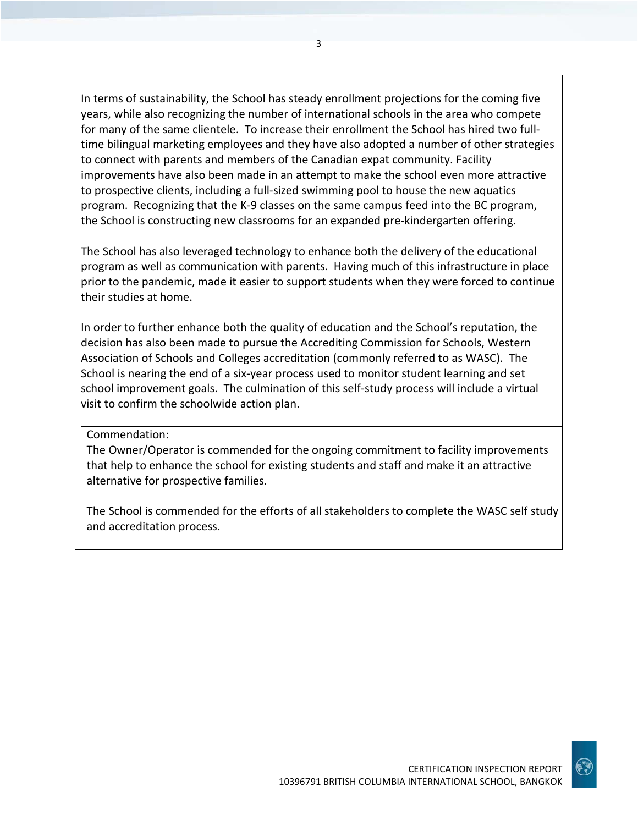In terms of sustainability, the School has steady enrollment projections for the coming five years, while also recognizing the number of international schools in the area who compete for many of the same clientele. To increase their enrollment the School has hired two fulltime bilingual marketing employees and they have also adopted a number of other strategies to connect with parents and members of the Canadian expat community. Facility improvements have also been made in an attempt to make the school even more attractive to prospective clients, including a full-sized swimming pool to house the new aquatics program. Recognizing that the K-9 classes on the same campus feed into the BC program, the School is constructing new classrooms for an expanded pre-kindergarten offering.

The School has also leveraged technology to enhance both the delivery of the educational program as well as communication with parents. Having much of this infrastructure in place prior to the pandemic, made it easier to support students when they were forced to continue their studies at home.

In order to further enhance both the quality of education and the School's reputation, the decision has also been made to pursue the Accrediting Commission for Schools, Western Association of Schools and Colleges accreditation (commonly referred to as WASC). The School is nearing the end of a six-year process used to monitor student learning and set school improvement goals. The culmination of this self-study process will include a virtual visit to confirm the schoolwide action plan.

#### Commendation:

The Owner/Operator is commended for the ongoing commitment to facility improvements that help to enhance the school for existing students and staff and make it an attractive alternative for prospective families.

The School is commended for the efforts of all stakeholders to complete the WASC self study and accreditation process.

3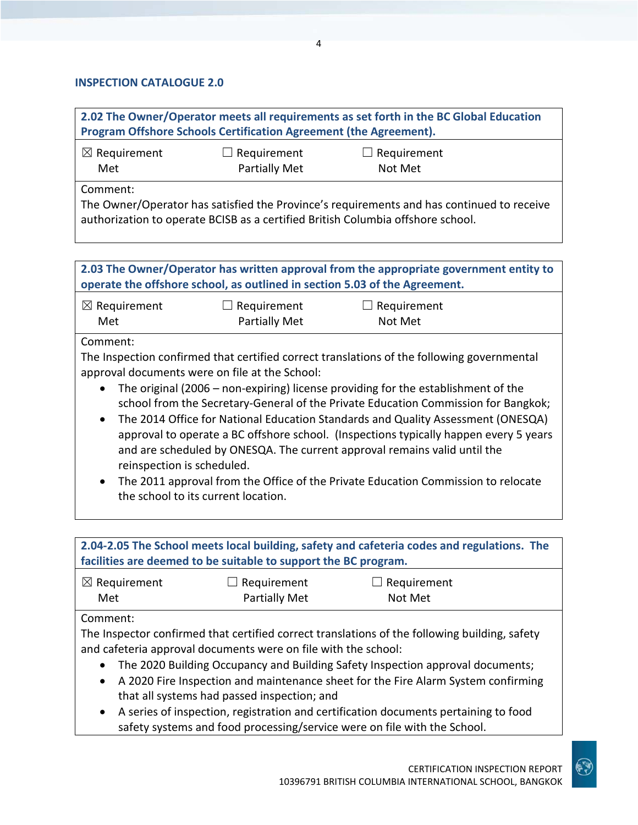#### **INSPECTION CATALOGUE 2.0**

**2.02 The Owner/Operator meets all requirements as set forth in the BC Global Education Program Offshore Schools Certification Agreement (the Agreement).**

| $\boxtimes$ Requirement | $\Box$ Requirement | $\Box$ Requirement |  |
|-------------------------|--------------------|--------------------|--|
| Met                     | Partially Met      | Not Met            |  |

Comment:

The Owner/Operator has satisfied the Province's requirements and has continued to receive authorization to operate BCISB as a certified British Columbia offshore school.

## **2.03 The Owner/Operator has written approval from the appropriate government entity to operate the offshore school, as outlined in section 5.03 of the Agreement.**

☒ Requirement Met ☐ Requirement Partially Met  $\Box$  Requirement Not Met

#### Comment:

The Inspection confirmed that certified correct translations of the following governmental approval documents were on file at the School:

- The original (2006 non-expiring) license providing for the establishment of the school from the Secretary-General of the Private Education Commission for Bangkok;
- The 2014 Office for National Education Standards and Quality Assessment (ONESQA) approval to operate a BC offshore school. (Inspections typically happen every 5 years and are scheduled by ONESQA. The current approval remains valid until the reinspection is scheduled.
- The 2011 approval from the Office of the Private Education Commission to relocate the school to its current location.

#### **2.04-2.05 The School meets local building, safety and cafeteria codes and regulations. The facilities are deemed to be suitable to support the BC program.** ☒ Requirement Met  $\Box$  Requirement Partially Met  $\Box$  Requirement Not Met

### Comment:

The Inspector confirmed that certified correct translations of the following building, safety and cafeteria approval documents were on file with the school:

- The 2020 Building Occupancy and Building Safety Inspection approval documents;
- A 2020 Fire Inspection and maintenance sheet for the Fire Alarm System confirming that all systems had passed inspection; and
- A series of inspection, registration and certification documents pertaining to food safety systems and food processing/service were on file with the School.

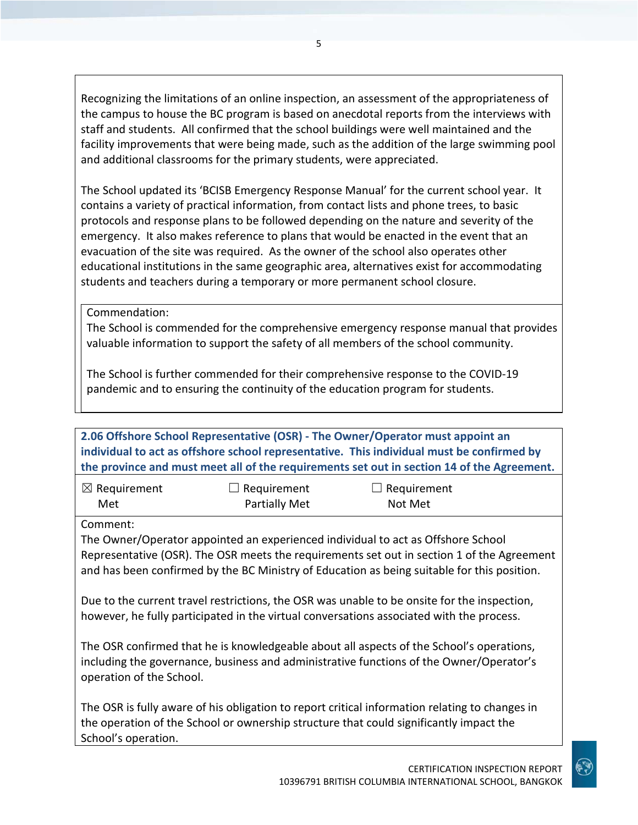Recognizing the limitations of an online inspection, an assessment of the appropriateness of the campus to house the BC program is based on anecdotal reports from the interviews with staff and students. All confirmed that the school buildings were well maintained and the facility improvements that were being made, such as the addition of the large swimming pool and additional classrooms for the primary students, were appreciated.

The School updated its 'BCISB Emergency Response Manual' for the current school year. It contains a variety of practical information, from contact lists and phone trees, to basic protocols and response plans to be followed depending on the nature and severity of the emergency. It also makes reference to plans that would be enacted in the event that an evacuation of the site was required. As the owner of the school also operates other educational institutions in the same geographic area, alternatives exist for accommodating students and teachers during a temporary or more permanent school closure.

Commendation:

The School is commended for the comprehensive emergency response manual that provides valuable information to support the safety of all members of the school community.

The School is further commended for their comprehensive response to the COVID-19 pandemic and to ensuring the continuity of the education program for students.

**2.06 Offshore School Representative (OSR) - The Owner/Operator must appoint an individual to act as offshore school representative. This individual must be confirmed by the province and must meet all of the requirements set out in section 14 of the Agreement.**

| $\boxtimes$ Requirement | $\Box$ Requirement   | $\Box$ Requirement |
|-------------------------|----------------------|--------------------|
| Met                     | <b>Partially Met</b> | Not Met            |

Comment:

The Owner/Operator appointed an experienced individual to act as Offshore School Representative (OSR). The OSR meets the requirements set out in section 1 of the Agreement and has been confirmed by the BC Ministry of Education as being suitable for this position.

Due to the current travel restrictions, the OSR was unable to be onsite for the inspection, however, he fully participated in the virtual conversations associated with the process.

The OSR confirmed that he is knowledgeable about all aspects of the School's operations, including the governance, business and administrative functions of the Owner/Operator's operation of the School.

The OSR is fully aware of his obligation to report critical information relating to changes in the operation of the School or ownership structure that could significantly impact the School's operation.

5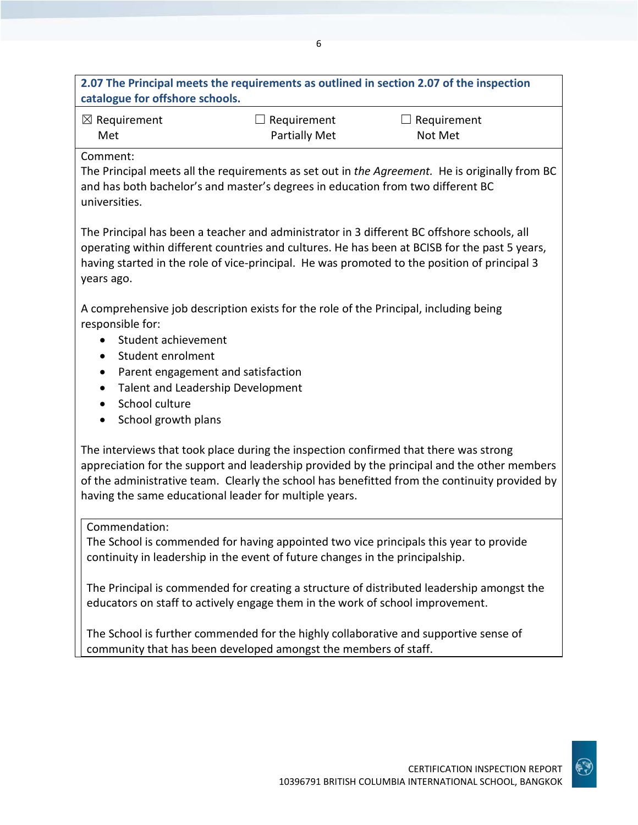| $\boxtimes$ Requirement<br>Met                                                                                                                                                                                                                                                                                   | Requirement<br>Partially Met                                    | Requirement<br>Not Met                                                                                                                                                                                                                                                                      |
|------------------------------------------------------------------------------------------------------------------------------------------------------------------------------------------------------------------------------------------------------------------------------------------------------------------|-----------------------------------------------------------------|---------------------------------------------------------------------------------------------------------------------------------------------------------------------------------------------------------------------------------------------------------------------------------------------|
| Comment:<br>and has both bachelor's and master's degrees in education from two different BC<br>universities.                                                                                                                                                                                                     |                                                                 | The Principal meets all the requirements as set out in the Agreement. He is originally from BC                                                                                                                                                                                              |
| years ago.                                                                                                                                                                                                                                                                                                       |                                                                 | The Principal has been a teacher and administrator in 3 different BC offshore schools, all<br>operating within different countries and cultures. He has been at BCISB for the past 5 years,<br>having started in the role of vice-principal. He was promoted to the position of principal 3 |
| A comprehensive job description exists for the role of the Principal, including being<br>responsible for:<br>Student achievement<br>Student enrolment<br>$\bullet$<br>Parent engagement and satisfaction<br>$\bullet$<br>Talent and Leadership Development<br>School culture<br>$\bullet$<br>School growth plans |                                                                 |                                                                                                                                                                                                                                                                                             |
| The interviews that took place during the inspection confirmed that there was strong<br>having the same educational leader for multiple years.                                                                                                                                                                   |                                                                 | appreciation for the support and leadership provided by the principal and the other members<br>of the administrative team. Clearly the school has benefitted from the continuity provided by                                                                                                |
| Commendation:<br>continuity in leadership in the event of future changes in the principalship.                                                                                                                                                                                                                   |                                                                 | The School is commended for having appointed two vice principals this year to provide                                                                                                                                                                                                       |
| educators on staff to actively engage them in the work of school improvement.                                                                                                                                                                                                                                    |                                                                 | The Principal is commended for creating a structure of distributed leadership amongst the                                                                                                                                                                                                   |
|                                                                                                                                                                                                                                                                                                                  | community that has been developed amongst the members of staff. | The School is further commended for the highly collaborative and supportive sense of                                                                                                                                                                                                        |



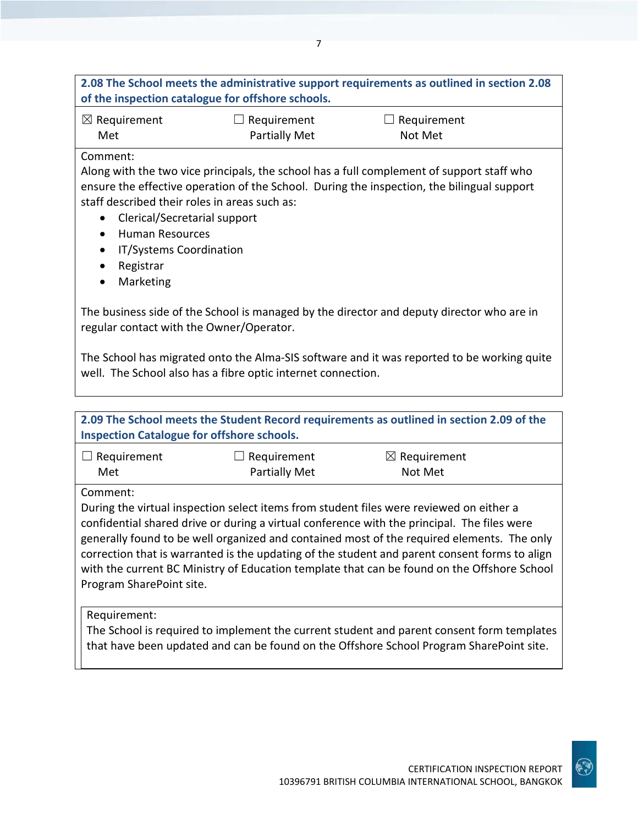### **2.08 The School meets the administrative support requirements as outlined in section 2.08 of the inspection catalogue for offshore schools.**

7

☒ Requirement Met

 $\Box$  Requirement Partially Met  $\Box$  Requirement Not Met

#### Comment:

Along with the two vice principals, the school has a full complement of support staff who ensure the effective operation of the School. During the inspection, the bilingual support staff described their roles in areas such as:

- Clerical/Secretarial support
- Human Resources
- IT/Systems Coordination
- Registrar
- Marketing

The business side of the School is managed by the director and deputy director who are in regular contact with the Owner/Operator.

The School has migrated onto the Alma-SIS software and it was reported to be working quite well. The School also has a fibre optic internet connection.

#### **2.09 The School meets the Student Record requirements as outlined in section 2.09 of the Inspection Catalogue for offshore schools.** ☐ Requirement Met  $\Box$  Requirement Partially Met  $\boxtimes$  Requirement Not Met Comment: During the virtual inspection select items from student files were reviewed on either a

confidential shared drive or during a virtual conference with the principal. The files were generally found to be well organized and contained most of the required elements. The only correction that is warranted is the updating of the student and parent consent forms to align with the current BC Ministry of Education template that can be found on the Offshore School Program SharePoint site.

### Requirement:

The School is required to implement the current student and parent consent form templates that have been updated and can be found on the Offshore School Program SharePoint site.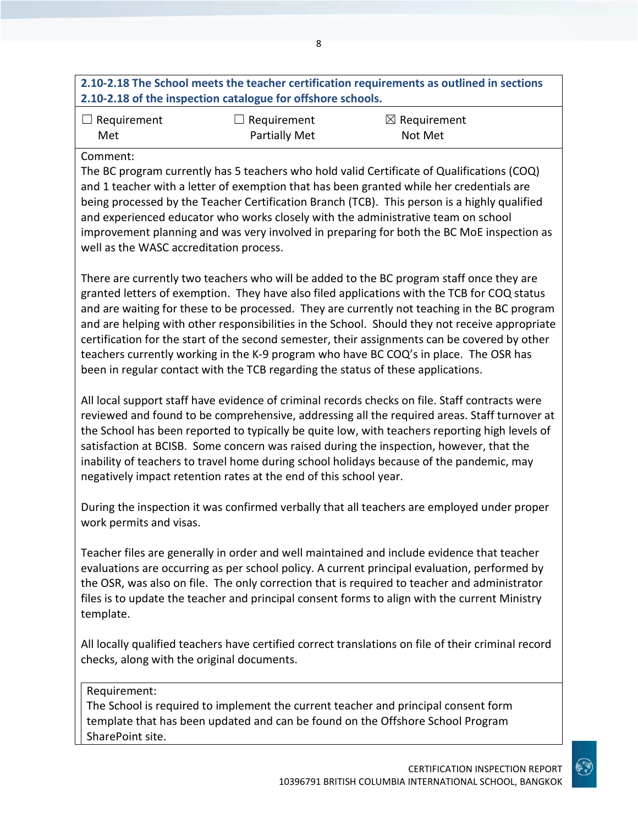### **2.10-2.18 The School meets the teacher certification requirements as outlined in sections 2.10-2.18 of the inspection catalogue for offshore schools.**

| $\Box$ Requirement | $\Box$ Requirement   | $\boxtimes$ Requirement |
|--------------------|----------------------|-------------------------|
| Met                | <b>Partially Met</b> | Not Met                 |

#### Comment:

The BC program currently has 5 teachers who hold valid Certificate of Qualifications (COQ) and 1 teacher with a letter of exemption that has been granted while her credentials are being processed by the Teacher Certification Branch (TCB). This person is a highly qualified and experienced educator who works closely with the administrative team on school improvement planning and was very involved in preparing for both the BC MoE inspection as well as the WASC accreditation process.

There are currently two teachers who will be added to the BC program staff once they are granted letters of exemption. They have also filed applications with the TCB for COQ status and are waiting for these to be processed. They are currently not teaching in the BC program and are helping with other responsibilities in the School. Should they not receive appropriate certification for the start of the second semester, their assignments can be covered by other teachers currently working in the K-9 program who have BC COQ's in place. The OSR has been in regular contact with the TCB regarding the status of these applications.

All local support staff have evidence of criminal records checks on file. Staff contracts were reviewed and found to be comprehensive, addressing all the required areas. Staff turnover at the School has been reported to typically be quite low, with teachers reporting high levels of satisfaction at BCISB. Some concern was raised during the inspection, however, that the inability of teachers to travel home during school holidays because of the pandemic, may negatively impact retention rates at the end of this school year.

During the inspection it was confirmed verbally that all teachers are employed under proper work permits and visas.

Teacher files are generally in order and well maintained and include evidence that teacher evaluations are occurring as per school policy. A current principal evaluation, performed by the OSR, was also on file. The only correction that is required to teacher and administrator files is to update the teacher and principal consent forms to align with the current Ministry template.

All locally qualified teachers have certified correct translations on file of their criminal record checks, along with the original documents.

#### Requirement:

The School is required to implement the current teacher and principal consent form template that has been updated and can be found on the Offshore School Program SharePoint site.

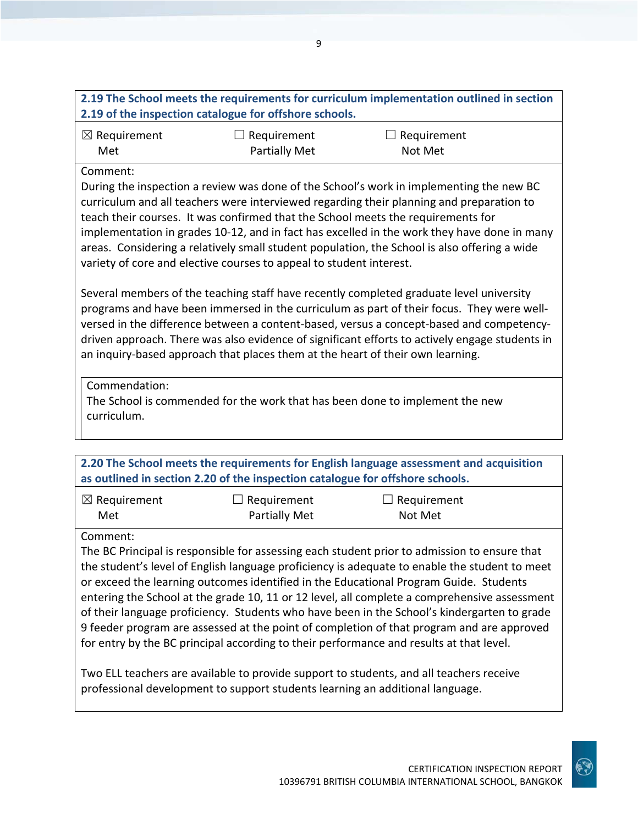| 2.19 of the inspection catalogue for offshore schools.                                                                                                                                                                                                                                                                                                                                                                                                                                                                                        |                      |             |  |
|-----------------------------------------------------------------------------------------------------------------------------------------------------------------------------------------------------------------------------------------------------------------------------------------------------------------------------------------------------------------------------------------------------------------------------------------------------------------------------------------------------------------------------------------------|----------------------|-------------|--|
| $\boxtimes$ Requirement                                                                                                                                                                                                                                                                                                                                                                                                                                                                                                                       | Requirement          | Requirement |  |
| Met                                                                                                                                                                                                                                                                                                                                                                                                                                                                                                                                           | <b>Partially Met</b> | Not Met     |  |
| Comment:                                                                                                                                                                                                                                                                                                                                                                                                                                                                                                                                      |                      |             |  |
| During the inspection a review was done of the School's work in implementing the new BC<br>curriculum and all teachers were interviewed regarding their planning and preparation to<br>teach their courses. It was confirmed that the School meets the requirements for<br>implementation in grades 10-12, and in fact has excelled in the work they have done in many<br>areas. Considering a relatively small student population, the School is also offering a wide<br>variety of core and elective courses to appeal to student interest. |                      |             |  |
| Several members of the teaching staff have recently completed graduate level university<br>nrograms and have been immersed in the curriculum as nart of their focus. They were well-                                                                                                                                                                                                                                                                                                                                                          |                      |             |  |

en immersed in the curriculum as part of their focus. They were wellversed in the difference between a content-based, versus a concept-based and competencydriven approach. There was also evidence of significant efforts to actively engage students in an inquiry-based approach that places them at the heart of their own learning.

Commendation:

The School is commended for the work that has been done to implement the new curriculum.

**2.20 The School meets the requirements for English language assessment and acquisition as outlined in section 2.20 of the inspection catalogue for offshore schools.**

| $\boxtimes$ Requirement | $\Box$ Requirement   | $\Box$ Requirement |
|-------------------------|----------------------|--------------------|
| Met                     | <b>Partially Met</b> | Not Met            |

Comment:

The BC Principal is responsible for assessing each student prior to admission to ensure that the student's level of English language proficiency is adequate to enable the student to meet or exceed the learning outcomes identified in the Educational Program Guide. Students entering the School at the grade 10, 11 or 12 level, all complete a comprehensive assessment of their language proficiency. Students who have been in the School's kindergarten to grade 9 feeder program are assessed at the point of completion of that program and are approved for entry by the BC principal according to their performance and results at that level.

Two ELL teachers are available to provide support to students, and all teachers receive professional development to support students learning an additional language.

**2.19 The School meets the requirements for curriculum implementation outlined in section**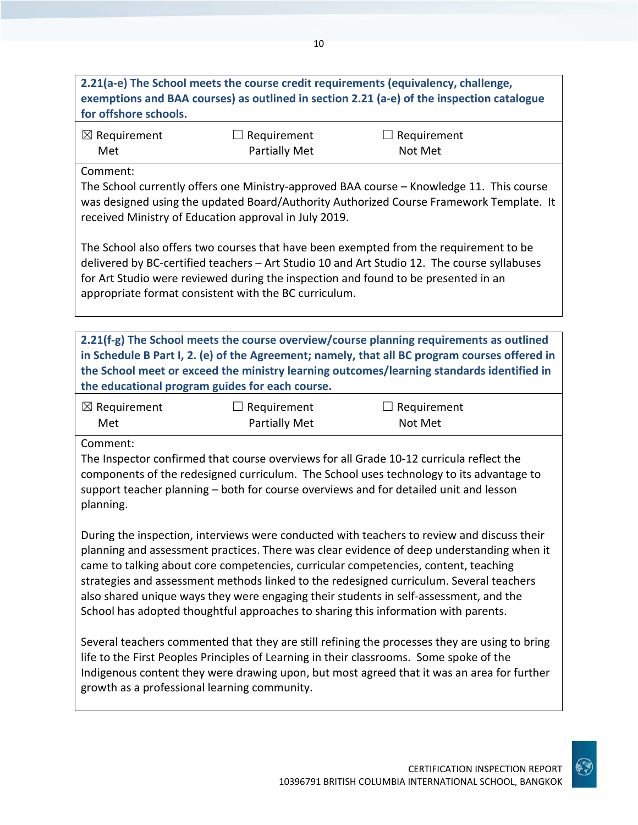## **2.21(a-e) The School meets the course credit requirements (equivalency, challenge, exemptions and BAA courses) as outlined in section 2.21 (a-e) of the inspection catalogue for offshore schools.**

| $\boxtimes$ Requirement | $\Box$ Requirement | $\Box$ Requirement |
|-------------------------|--------------------|--------------------|
| Met                     | Partially Met      | Not Met            |

Comment:

The School currently offers one Ministry-approved BAA course – Knowledge 11. This course was designed using the updated Board/Authority Authorized Course Framework Template. It received Ministry of Education approval in July 2019.

The School also offers two courses that have been exempted from the requirement to be delivered by BC-certified teachers – Art Studio 10 and Art Studio 12. The course syllabuses for Art Studio were reviewed during the inspection and found to be presented in an appropriate format consistent with the BC curriculum.

**2.21(f-g) The School meets the course overview/course planning requirements as outlined in Schedule B Part I, 2. (e) of the Agreement; namely, that all BC program courses offered in the School meet or exceed the ministry learning outcomes/learning standards identified in the educational program guides for each course.**

| $\boxtimes$ Requirement | $\Box$ Requirement   | $\Box$ Requirement |
|-------------------------|----------------------|--------------------|
| Met                     | <b>Partially Met</b> | Not Met            |

Comment:

The Inspector confirmed that course overviews for all Grade 10-12 curricula reflect the components of the redesigned curriculum. The School uses technology to its advantage to support teacher planning – both for course overviews and for detailed unit and lesson planning.

During the inspection, interviews were conducted with teachers to review and discuss their planning and assessment practices. There was clear evidence of deep understanding when it came to talking about core competencies, curricular competencies, content, teaching strategies and assessment methods linked to the redesigned curriculum. Several teachers also shared unique ways they were engaging their students in self-assessment, and the School has adopted thoughtful approaches to sharing this information with parents.

Several teachers commented that they are still refining the processes they are using to bring life to the First Peoples Principles of Learning in their classrooms. Some spoke of the Indigenous content they were drawing upon, but most agreed that it was an area for further growth as a professional learning community.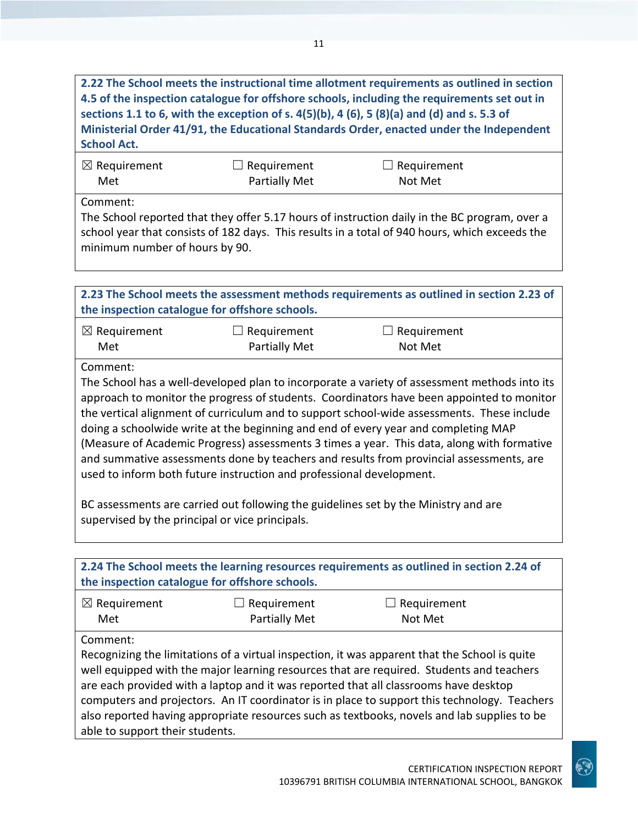**2.22 The School meets the instructional time allotment requirements as outlined in section 4.5 of the inspection catalogue for offshore schools, including the requirements set out in sections 1.1 to 6, with the exception of s. 4(5)(b), 4 (6), 5 (8)(a) and (d) and s. 5.3 of Ministerial Order 41/91, the Educational Standards Order, enacted under the Independent School Act.**

| $\boxtimes$ Requirement | $\Box$ Requirement | $\Box$ Requirement |  |
|-------------------------|--------------------|--------------------|--|
| Met                     | Partially Met      | Not Met            |  |

Comment:

The School reported that they offer 5.17 hours of instruction daily in the BC program, over a school year that consists of 182 days. This results in a total of 940 hours, which exceeds the minimum number of hours by 90.

|                                                                                                                                                                                                                                                                                                                                                                                                                                                                                                                                                                                                                                                                                                                                                                                                      | the inspection catalogue for offshore schools. | 2.23 The School meets the assessment methods requirements as outlined in section 2.23 of                                                                                                                                                                                                                                                                                                                                                                                         |  |
|------------------------------------------------------------------------------------------------------------------------------------------------------------------------------------------------------------------------------------------------------------------------------------------------------------------------------------------------------------------------------------------------------------------------------------------------------------------------------------------------------------------------------------------------------------------------------------------------------------------------------------------------------------------------------------------------------------------------------------------------------------------------------------------------------|------------------------------------------------|----------------------------------------------------------------------------------------------------------------------------------------------------------------------------------------------------------------------------------------------------------------------------------------------------------------------------------------------------------------------------------------------------------------------------------------------------------------------------------|--|
| $\boxtimes$ Requirement<br>Met                                                                                                                                                                                                                                                                                                                                                                                                                                                                                                                                                                                                                                                                                                                                                                       | $\Box$ Requirement<br><b>Partially Met</b>     | $\Box$ Requirement<br>Not Met                                                                                                                                                                                                                                                                                                                                                                                                                                                    |  |
| Comment:<br>The School has a well-developed plan to incorporate a variety of assessment methods into its<br>approach to monitor the progress of students. Coordinators have been appointed to monitor<br>the vertical alignment of curriculum and to support school-wide assessments. These include<br>doing a schoolwide write at the beginning and end of every year and completing MAP<br>(Measure of Academic Progress) assessments 3 times a year. This data, along with formative<br>and summative assessments done by teachers and results from provincial assessments, are<br>used to inform both future instruction and professional development.<br>BC assessments are carried out following the guidelines set by the Ministry and are<br>supervised by the principal or vice principals. |                                                |                                                                                                                                                                                                                                                                                                                                                                                                                                                                                  |  |
|                                                                                                                                                                                                                                                                                                                                                                                                                                                                                                                                                                                                                                                                                                                                                                                                      | the inspection catalogue for offshore schools. | 2.24 The School meets the learning resources requirements as outlined in section 2.24 of                                                                                                                                                                                                                                                                                                                                                                                         |  |
| $\boxtimes$ Requirement<br>Met                                                                                                                                                                                                                                                                                                                                                                                                                                                                                                                                                                                                                                                                                                                                                                       | Requirement<br><b>Partially Met</b>            | Requirement<br>Not Met                                                                                                                                                                                                                                                                                                                                                                                                                                                           |  |
| Comment:                                                                                                                                                                                                                                                                                                                                                                                                                                                                                                                                                                                                                                                                                                                                                                                             |                                                | Recognizing the limitations of a virtual inspection, it was apparent that the School is quite<br>well equipped with the major learning resources that are required. Students and teachers<br>are each provided with a laptop and it was reported that all classrooms have desktop<br>computers and projectors. An IT coordinator is in place to support this technology. Teachers<br>also reported having appropriate resources such as textbooks, novels and lab supplies to be |  |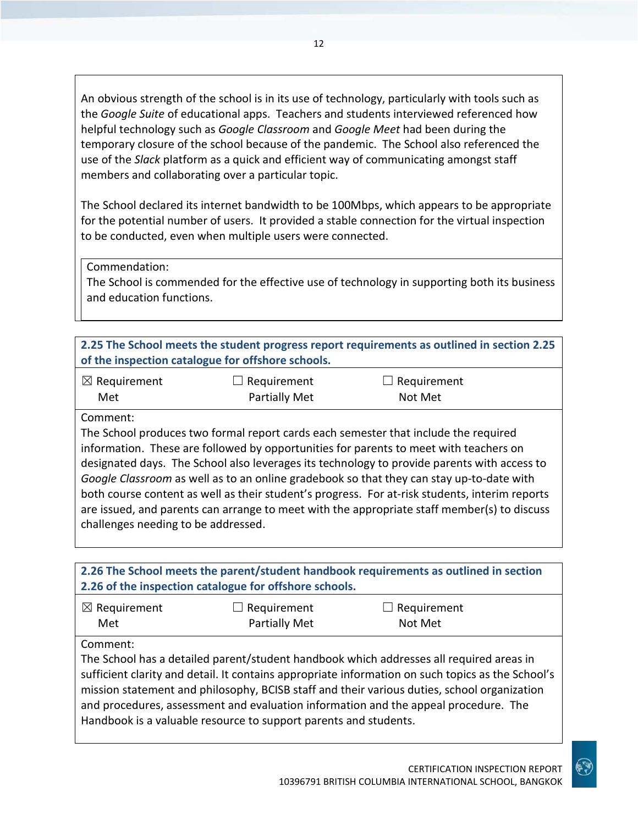An obvious strength of the school is in its use of technology, particularly with tools such as the *Google Suite* of educational apps. Teachers and students interviewed referenced how helpful technology such as *Google Classroom* and *Google Meet* had been during the temporary closure of the school because of the pandemic. The School also referenced the use of the *Slack* platform as a quick and efficient way of communicating amongst staff members and collaborating over a particular topic.

The School declared its internet bandwidth to be 100Mbps, which appears to be appropriate for the potential number of users. It provided a stable connection for the virtual inspection to be conducted, even when multiple users were connected.

Commendation:

The School is commended for the effective use of technology in supporting both its business and education functions.

| 2.25 The School meets the student progress report requirements as outlined in section 2.25 |
|--------------------------------------------------------------------------------------------|
| of the inspection catalogue for offshore schools.                                          |
|                                                                                            |

| $\boxtimes$ Requirement | $\Box$ Requirement   | $\Box$ Requirement |
|-------------------------|----------------------|--------------------|
| Met                     | <b>Partially Met</b> | Not Met            |

#### Comment:

The School produces two formal report cards each semester that include the required information. These are followed by opportunities for parents to meet with teachers on designated days. The School also leverages its technology to provide parents with access to *Google Classroom* as well as to an online gradebook so that they can stay up-to-date with both course content as well as their student's progress. For at-risk students, interim reports are issued, and parents can arrange to meet with the appropriate staff member(s) to discuss challenges needing to be addressed.

**2.26 The School meets the parent/student handbook requirements as outlined in section 2.26 of the inspection catalogue for offshore schools.**

| $\boxtimes$ Requirement | $\Box$ Requirement   | $\Box$ Requirement |  |
|-------------------------|----------------------|--------------------|--|
| Met                     | <b>Partially Met</b> | Not Met            |  |

### Comment:

The School has a detailed parent/student handbook which addresses all required areas in sufficient clarity and detail. It contains appropriate information on such topics as the School's mission statement and philosophy, BCISB staff and their various duties, school organization and procedures, assessment and evaluation information and the appeal procedure. The Handbook is a valuable resource to support parents and students.

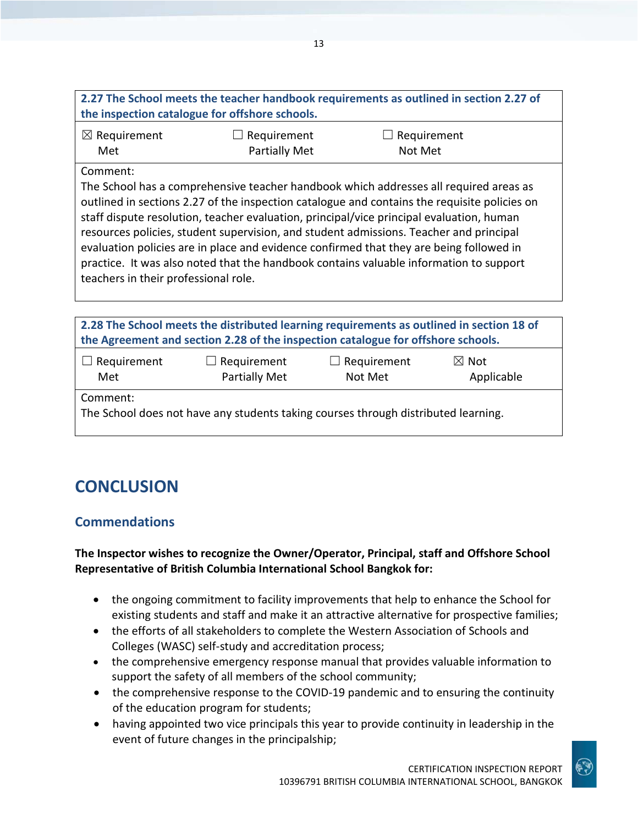| 2.27 The School meets the teacher handbook requirements as outlined in section 2.27 of |  |
|----------------------------------------------------------------------------------------|--|
| the inspection catalogue for offshore schools.                                         |  |

| $\boxtimes$ Requirement | $\Box$ Requirement | $\Box$ Requirement |  |
|-------------------------|--------------------|--------------------|--|
| Met                     | Partially Met      | Not Met            |  |

#### Comment:

The School has a comprehensive teacher handbook which addresses all required areas as outlined in sections 2.27 of the inspection catalogue and contains the requisite policies on staff dispute resolution, teacher evaluation, principal/vice principal evaluation, human resources policies, student supervision, and student admissions. Teacher and principal evaluation policies are in place and evidence confirmed that they are being followed in practice. It was also noted that the handbook contains valuable information to support teachers in their professional role.

| 2.28 The School meets the distributed learning requirements as outlined in section 18 of |
|------------------------------------------------------------------------------------------|
| the Agreement and section 2.28 of the inspection catalogue for offshore schools.         |
|                                                                                          |

| $\Box$ Requirement | $\Box$ Requirement   | $\Box$ Requirement | $\boxtimes$ Not |
|--------------------|----------------------|--------------------|-----------------|
| Met                | <b>Partially Met</b> | Not Met            | Applicable      |

Comment:

The School does not have any students taking courses through distributed learning.

# **CONCLUSION**

### **Commendations**

### **The Inspector wishes to recognize the Owner/Operator, Principal, staff and Offshore School Representative of British Columbia International School Bangkok for:**

- the ongoing commitment to facility improvements that help to enhance the School for existing students and staff and make it an attractive alternative for prospective families;
- the efforts of all stakeholders to complete the Western Association of Schools and Colleges (WASC) self-study and accreditation process;
- the comprehensive emergency response manual that provides valuable information to support the safety of all members of the school community;
- the comprehensive response to the COVID-19 pandemic and to ensuring the continuity of the education program for students;
- having appointed two vice principals this year to provide continuity in leadership in the event of future changes in the principalship;